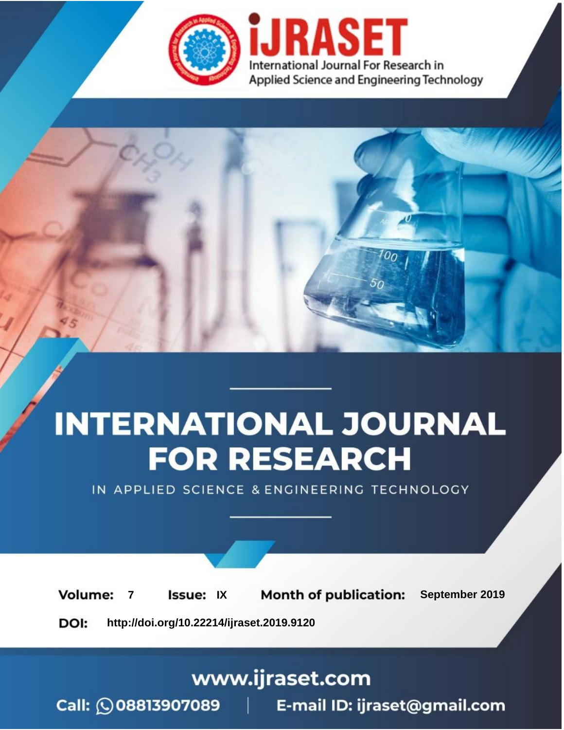

# **INTERNATIONAL JOURNAL FOR RESEARCH**

IN APPLIED SCIENCE & ENGINEERING TECHNOLOGY

**Month of publication: Volume: Issue: IX** September 2019  $\overline{7}$ DOI: http://doi.org/10.22214/ijraset.2019.9120

www.ijraset.com

 $Call: \bigcirc$ 08813907089 E-mail ID: ijraset@gmail.com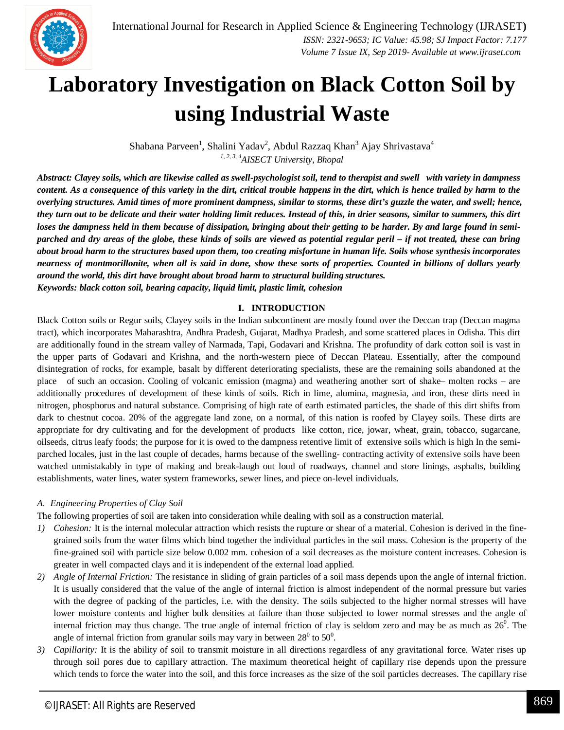

### **Laboratory Investigation on Black Cotton Soil by using Industrial Waste**

Shabana Parveen<sup>1</sup>, Shalini Yadav<sup>2</sup>, Abdul Razzaq Khan<sup>3</sup> Ajay Shrivastava<sup>4</sup> *1, 2, 3, 4AISECT University, Bhopal*

*Abstract: Clayey soils, which are likewise called as swell-psychologist soil, tend to therapist and swell with variety in dampness content. As a consequence of this variety in the dirt, critical trouble happens in the dirt, which is hence trailed by harm to the overlying structures. Amid times of more prominent dampness, similar to storms, these dirt's guzzle the water, and swell; hence, they turn out to be delicate and their water holding limit reduces. Instead of this, in drier seasons, similar to summers, this dirt loses the dampness held in them because of dissipation, bringing about their getting to be harder. By and large found in semiparched and dry areas of the globe, these kinds of soils are viewed as potential regular peril – if not treated, these can bring about broad harm to the structures based upon them, too creating misfortune in human life. Soils whose synthesis incorporates nearness of montmorillonite, when all is said in done, show these sorts of properties. Counted in billions of dollars yearly around the world, this dirt have brought about broad harm to structural building structures. Keywords: black cotton soil, bearing capacity, liquid limit, plastic limit, cohesion*

#### **I. INTRODUCTION**

Black Cotton soils or Regur soils, Clayey soils in the Indian subcontinent are mostly found over the Deccan trap (Deccan magma tract), which incorporates Maharashtra, Andhra Pradesh, Gujarat, Madhya Pradesh, and some scattered places in Odisha. This dirt are additionally found in the stream valley of Narmada, Tapi, Godavari and Krishna. The profundity of dark cotton soil is vast in the upper parts of Godavari and Krishna, and the north-western piece of Deccan Plateau. Essentially, after the compound disintegration of rocks, for example, basalt by different deteriorating specialists, these are the remaining soils abandoned at the place of such an occasion. Cooling of volcanic emission (magma) and weathering another sort of shake– molten rocks – are additionally procedures of development of these kinds of soils. Rich in lime, alumina, magnesia, and iron, these dirts need in nitrogen, phosphorus and natural substance. Comprising of high rate of earth estimated particles, the shade of this dirt shifts from dark to chestnut cocoa. 20% of the aggregate land zone, on a normal, of this nation is roofed by Clayey soils. These dirts are appropriate for dry cultivating and for the development of products like cotton, rice, jowar, wheat, grain, tobacco, sugarcane, oilseeds, citrus leafy foods; the purpose for it is owed to the dampness retentive limit of extensive soils which is high In the semiparched locales, just in the last couple of decades, harms because of the swelling- contracting activity of extensive soils have been watched unmistakably in type of making and break-laugh out loud of roadways, channel and store linings, asphalts, building establishments, water lines, water system frameworks, sewer lines, and piece on-level individuals.

#### *A. Engineering Properties of Clay Soil*

The following properties of soil are taken into consideration while dealing with soil as a construction material.

- *1) Cohesion:* It is the internal molecular attraction which resists the rupture or shear of a material. Cohesion is derived in the finegrained soils from the water films which bind together the individual particles in the soil mass. Cohesion is the property of the fine-grained soil with particle size below 0.002 mm. cohesion of a soil decreases as the moisture content increases. Cohesion is greater in well compacted clays and it is independent of the external load applied.
- *2) Angle of Internal Friction:* The resistance in sliding of grain particles of a soil mass depends upon the angle of internal friction. It is usually considered that the value of the angle of internal friction is almost independent of the normal pressure but varies with the degree of packing of the particles, i.e. with the density. The soils subjected to the higher normal stresses will have lower moisture contents and higher bulk densities at failure than those subjected to lower normal stresses and the angle of internal friction may thus change. The true angle of internal friction of clay is seldom zero and may be as much as  $26^0$ . The angle of internal friction from granular soils may vary in between  $28^0$  to  $50^0$ .
- *3) Capillarity:* It is the ability of soil to transmit moisture in all directions regardless of any gravitational force. Water rises up through soil pores due to capillary attraction. The maximum theoretical height of capillary rise depends upon the pressure which tends to force the water into the soil, and this force increases as the size of the soil particles decreases. The capillary rise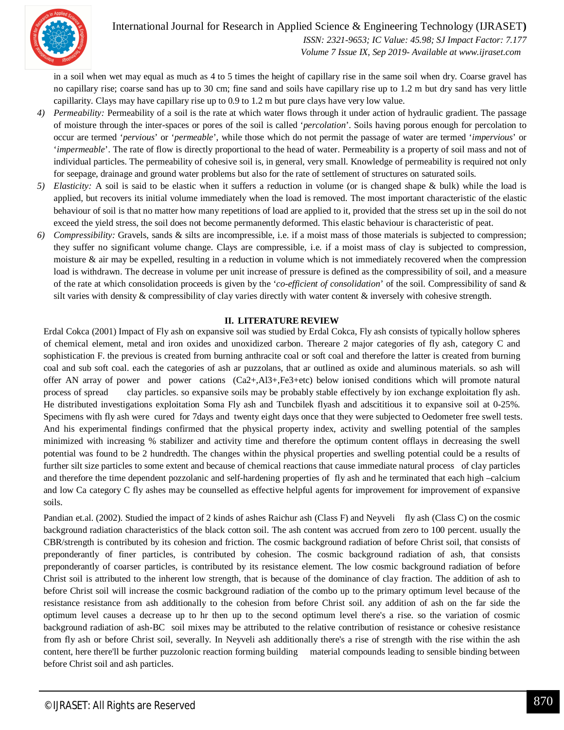

#### International Journal for Research in Applied Science & Engineering Technology (IJRASET**)**

 *ISSN: 2321-9653; IC Value: 45.98; SJ Impact Factor: 7.177 Volume 7 Issue IX, Sep 2019- Available at www.ijraset.com*

in a soil when wet may equal as much as 4 to 5 times the height of capillary rise in the same soil when dry. Coarse gravel has no capillary rise; coarse sand has up to 30 cm; fine sand and soils have capillary rise up to 1.2 m but dry sand has very little capillarity. Clays may have capillary rise up to 0.9 to 1.2 m but pure clays have very low value.

- *4) Permeability:* Permeability of a soil is the rate at which water flows through it under action of hydraulic gradient. The passage of moisture through the inter-spaces or pores of the soil is called '*percolation*'. Soils having porous enough for percolation to occur are termed '*pervious*' or '*permeable*', while those which do not permit the passage of water are termed '*impervious*' or '*impermeable*'. The rate of flow is directly proportional to the head of water. Permeability is a property of soil mass and not of individual particles. The permeability of cohesive soil is, in general, very small. Knowledge of permeability is required not only for seepage, drainage and ground water problems but also for the rate of settlement of structures on saturated soils.
- *5) Elasticity:* A soil is said to be elastic when it suffers a reduction in volume (or is changed shape & bulk) while the load is applied, but recovers its initial volume immediately when the load is removed. The most important characteristic of the elastic behaviour of soil is that no matter how many repetitions of load are applied to it, provided that the stress set up in the soil do not exceed the yield stress, the soil does not become permanently deformed. This elastic behaviour is characteristic of peat.
- *6) Compressibility:* Gravels, sands & silts are incompressible, i.e. if a moist mass of those materials is subjected to compression; they suffer no significant volume change. Clays are compressible, i.e. if a moist mass of clay is subjected to compression, moisture  $\&$  air may be expelled, resulting in a reduction in volume which is not immediately recovered when the compression load is withdrawn. The decrease in volume per unit increase of pressure is defined as the compressibility of soil, and a measure of the rate at which consolidation proceeds is given by the '*co-efficient of consolidation*' of the soil. Compressibility of sand & silt varies with density & compressibility of clay varies directly with water content & inversely with cohesive strength.

#### **II. LITERATURE REVIEW**

Erdal Cokca (2001) Impact of Fly ash on expansive soil was studied by Erdal Cokca, Fly ash consists of typically hollow spheres of chemical element, metal and iron oxides and unoxidized carbon. Thereare 2 major categories of fly ash, category C and sophistication F. the previous is created from burning anthracite coal or soft coal and therefore the latter is created from burning coal and sub soft coal. each the categories of ash ar puzzolans, that ar outlined as oxide and aluminous materials. so ash will offer AN array of power and power cations (Ca2+,Al3+,Fe3+etc) below ionised conditions which will promote natural process of spread clay particles. so expansive soils may be probably stable effectively by ion exchange exploitation fly ash. He distributed investigations exploitation Soma Fly ash and Tuncbilek flyash and adscititious it to expansive soil at 0-25%. Specimens with fly ash were cured for 7days and twenty eight days once that they were subjected to Oedometer free swell tests. And his experimental findings confirmed that the physical property index, activity and swelling potential of the samples minimized with increasing % stabilizer and activity time and therefore the optimum content offlays in decreasing the swell potential was found to be 2 hundredth. The changes within the physical properties and swelling potential could be a results of further silt size particles to some extent and because of chemical reactions that cause immediate natural process of clay particles and therefore the time dependent pozzolanic and self-hardening properties of fly ash and he terminated that each high –calcium and low Ca category C fly ashes may be counselled as effective helpful agents for improvement for improvement of expansive soils.

Pandian et.al. (2002). Studied the impact of 2 kinds of ashes Raichur ash (Class F) and Neyveli fly ash (Class C) on the cosmic background radiation characteristics of the black cotton soil. The ash content was accrued from zero to 100 percent. usually the CBR/strength is contributed by its cohesion and friction. The cosmic background radiation of before Christ soil, that consists of preponderantly of finer particles, is contributed by cohesion. The cosmic background radiation of ash, that consists preponderantly of coarser particles, is contributed by its resistance element. The low cosmic background radiation of before Christ soil is attributed to the inherent low strength, that is because of the dominance of clay fraction. The addition of ash to before Christ soil will increase the cosmic background radiation of the combo up to the primary optimum level because of the resistance resistance from ash additionally to the cohesion from before Christ soil. any addition of ash on the far side the optimum level causes a decrease up to hr then up to the second optimum level there's a rise. so the variation of cosmic background radiation of ash-BC soil mixes may be attributed to the relative contribution of resistance or cohesive resistance from fly ash or before Christ soil, severally. In Neyveli ash additionally there's a rise of strength with the rise within the ash content, here there'll be further puzzolonic reaction forming building material compounds leading to sensible binding between before Christ soil and ash particles.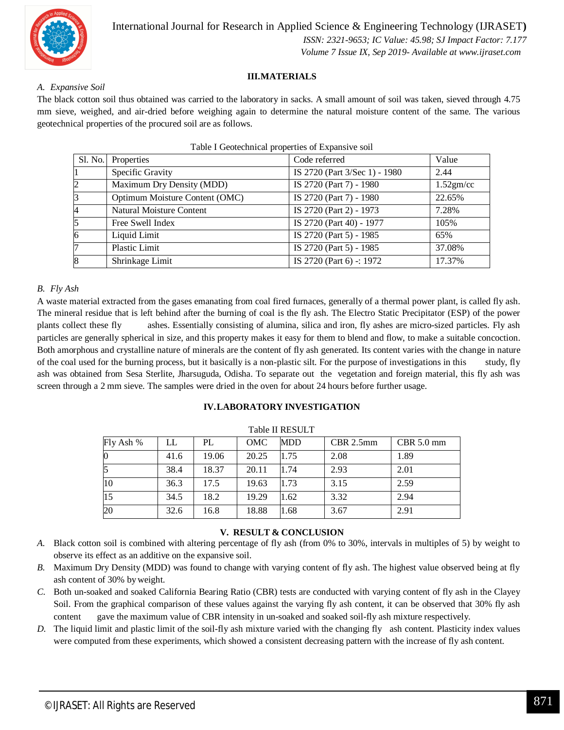

 *Volume 7 Issue IX, Sep 2019- Available at www.ijraset.com*

#### **III.MATERIALS**

#### *A. Expansive Soil*

The black cotton soil thus obtained was carried to the laboratory in sacks. A small amount of soil was taken, sieved through 4.75 mm sieve, weighed, and air-dried before weighing again to determine the natural moisture content of the same. The various geotechnical properties of the procured soil are as follows.

| Properties                     | Code referred                 | Value        |
|--------------------------------|-------------------------------|--------------|
| Specific Gravity               | IS 2720 (Part 3/Sec 1) - 1980 | 2.44         |
| Maximum Dry Density (MDD)      | IS 2720 (Part 7) - 1980       | $1.52$ gm/cc |
| Optimum Moisture Content (OMC) | IS 2720 (Part 7) - 1980       | 22.65%       |
| Natural Moisture Content       | IS 2720 (Part 2) - 1973       | 7.28%        |
| Free Swell Index               | IS 2720 (Part 40) - 1977      | 105%         |
| Liquid Limit                   | IS 2720 (Part 5) - 1985       | 65%          |
| Plastic Limit                  | IS 2720 (Part 5) - 1985       | 37.08%       |
| Shrinkage Limit                | IS 2720 (Part 6) -: 1972      | 17.37%       |
|                                | Sl. No.                       |              |

#### *B. Fly Ash*

A waste material extracted from the gases emanating from coal fired furnaces, generally of a thermal power plant, is called fly ash. The mineral residue that is left behind after the burning of coal is the fly ash. The Electro Static Precipitator (ESP) of the power plants collect these fly ashes. Essentially consisting of alumina, silica and iron, fly ashes are micro-sized particles. Fly ash particles are generally spherical in size, and this property makes it easy for them to blend and flow, to make a suitable concoction. Both amorphous and crystalline nature of minerals are the content of fly ash generated. Its content varies with the change in nature of the coal used for the burning process, but it basically is a non-plastic silt. For the purpose of investigations in this study, fly ash was obtained from Sesa Sterlite, Jharsuguda, Odisha. To separate out the vegetation and foreign material, this fly ash was screen through a 2 mm sieve. The samples were dried in the oven for about 24 hours before further usage.

#### **IV.LABORATORY INVESTIGATION**

| TAUR II KEDULI |      |       |       |            |             |              |
|----------------|------|-------|-------|------------|-------------|--------------|
| Fly Ash %      | LL   | PL    | OMC   | <b>MDD</b> | $CBR$ 2.5mm | $CBR$ 5.0 mm |
|                | 41.6 | 19.06 | 20.25 | 1.75       | 2.08        | 1.89         |
|                | 38.4 | 18.37 | 20.11 | 1.74       | 2.93        | 2.01         |
| 10             | 36.3 | 17.5  | 19.63 | 1.73       | 3.15        | 2.59         |
| 15             | 34.5 | 18.2  | 19.29 | 1.62       | 3.32        | 2.94         |
| 20             | 32.6 | 16.8  | 18.88 | 1.68       | 3.67        | 2.91         |

#### Table II RESULT

#### **V. RESULT & CONCLUSION**

- *A.* Black cotton soil is combined with altering percentage of fly ash (from 0% to 30%, intervals in multiples of 5) by weight to observe its effect as an additive on the expansive soil.
- *B.* Maximum Dry Density (MDD) was found to change with varying content of fly ash. The highest value observed being at fly ash content of 30% by weight.
- *C.* Both un-soaked and soaked California Bearing Ratio (CBR) tests are conducted with varying content of fly ash in the Clayey Soil. From the graphical comparison of these values against the varying fly ash content, it can be observed that 30% fly ash content gave the maximum value of CBR intensity in un-soaked and soaked soil-fly ash mixture respectively.
- *D.* The liquid limit and plastic limit of the soil-fly ash mixture varied with the changing fly ash content. Plasticity index values were computed from these experiments, which showed a consistent decreasing pattern with the increase of fly ash content.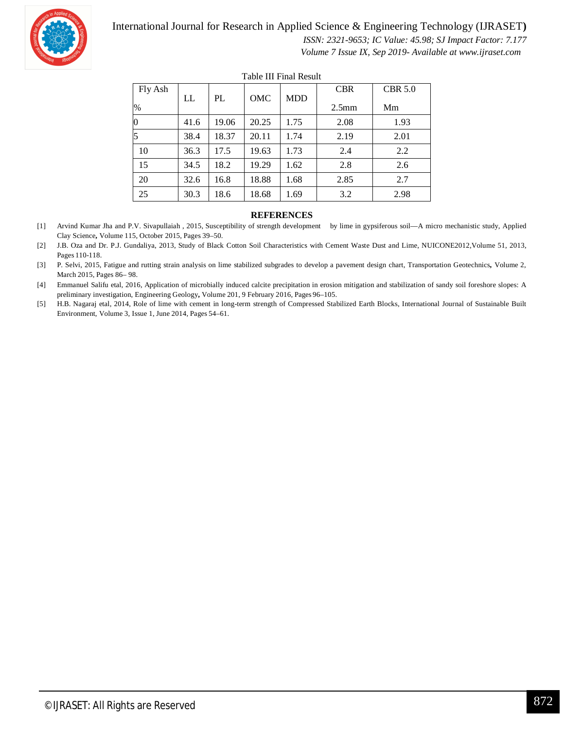

#### International Journal for Research in Applied Science & Engineering Technology (IJRASET**)**

 *ISSN: 2321-9653; IC Value: 45.98; SJ Impact Factor: 7.177*

 *Volume 7 Issue IX, Sep 2019- Available at www.ijraset.com*

| Fly Ash       | LL   | PL    | OMC   | <b>MDD</b> | <b>CBR</b>        | <b>CBR 5.0</b> |  |
|---------------|------|-------|-------|------------|-------------------|----------------|--|
| $\frac{0}{0}$ |      |       |       |            | 2.5 <sub>mm</sub> | Mm             |  |
| 0             | 41.6 | 19.06 | 20.25 | 1.75       | 2.08              | 1.93           |  |
| 5             | 38.4 | 18.37 | 20.11 | 1.74       | 2.19              | 2.01           |  |
| 10            | 36.3 | 17.5  | 19.63 | 1.73       | 2.4               | 2.2            |  |
| 15            | 34.5 | 18.2  | 19.29 | 1.62       | 2.8               | 2.6            |  |
| 20            | 32.6 | 16.8  | 18.88 | 1.68       | 2.85              | 2.7            |  |
| 25            | 30.3 | 18.6  | 18.68 | 1.69       | 3.2               | 2.98           |  |

Table III Final Result

#### **REFERENCES**

[1] Arvind Kumar Jha and P.V. Sivapullaiah , 2015, Susceptibility of strength development by lime in gypsiferous soil—A micro mechanistic study, Applied Clay Science**,** Volume 115, October 2015, Pages 39–50.

[2] J.B. Oza and Dr. P.J. Gundaliya, 2013, Study of Black Cotton Soil Characteristics with Cement Waste Dust and Lime, NUICONE2012,Volume 51, 2013, Pages 110-118.

[3] P. Selvi, 2015, Fatigue and rutting strain analysis on lime stabilized subgrades to develop a pavement design chart, Transportation Geotechnics**,** Volume 2, March 2015, Pages 86– 98.

[4] Emmanuel Salifu etal, 2016, Application of microbially induced calcite precipitation in erosion mitigation and stabilization of sandy soil foreshore slopes: A preliminary investigation, Engineering Geology**,** Volume 201, 9 February 2016, Pages 96–105.

[5] H.B. Nagaraj etal, 2014, Role of lime with cement in long-term strength of Compressed Stabilized Earth Blocks, International Journal of Sustainable Built Environment, Volume 3, Issue 1, June 2014, Pages 54–61.